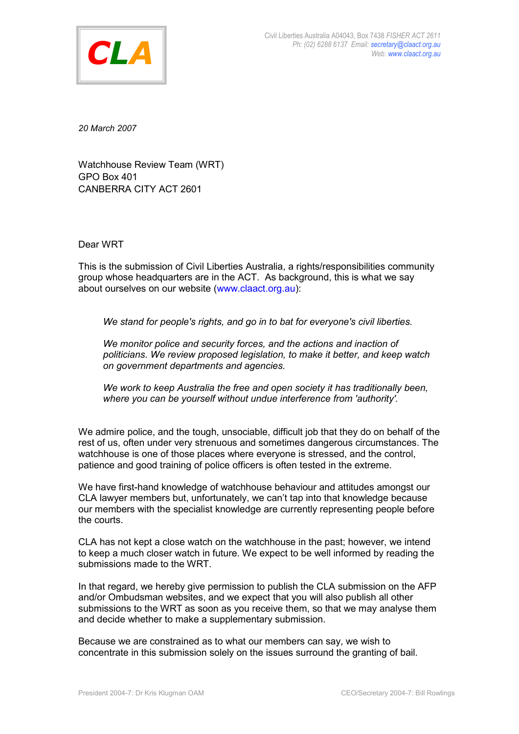

*20 March 2007*

Watchhouse Review Team (WRT) GPO Box 401 CANBERRA CITY ACT 2601

Dear WRT

This is the submission of Civil Liberties Australia, a rights/responsibilities community group whose headquarters are in the ACT. As background, this is what we say about ourselves on our website (www.claact.org.au):

*We stand for people's rights, and go in to bat for everyone's civil liberties.*

*We monitor police and security forces, and the actions and inaction of politicians. We review proposed legislation, to make it better, and keep watch on government departments and agencies.*

*We work to keep Australia the free and open society it has traditionally been, where you can be yourself without undue interference from 'authority'.*

We admire police, and the tough, unsociable, difficult job that they do on behalf of the rest of us, often under very strenuous and sometimes dangerous circumstances. The watchhouse is one of those places where everyone is stressed, and the control, patience and good training of police officers is often tested in the extreme.

We have first-hand knowledge of watchhouse behaviour and attitudes amongst our CLA lawyer members but, unfortunately, we can't tap into that knowledge because our members with the specialist knowledge are currently representing people before the courts.

CLA has not kept a close watch on the watchhouse in the past; however, we intend to keep a much closer watch in future. We expect to be well informed by reading the submissions made to the WRT.

In that regard, we hereby give permission to publish the CLA submission on the AFP and/or Ombudsman websites, and we expect that you will also publish all other submissions to the WRT as soon as you receive them, so that we may analyse them and decide whether to make a supplementary submission.

Because we are constrained as to what our members can say, we wish to concentrate in this submission solely on the issues surround the granting of bail.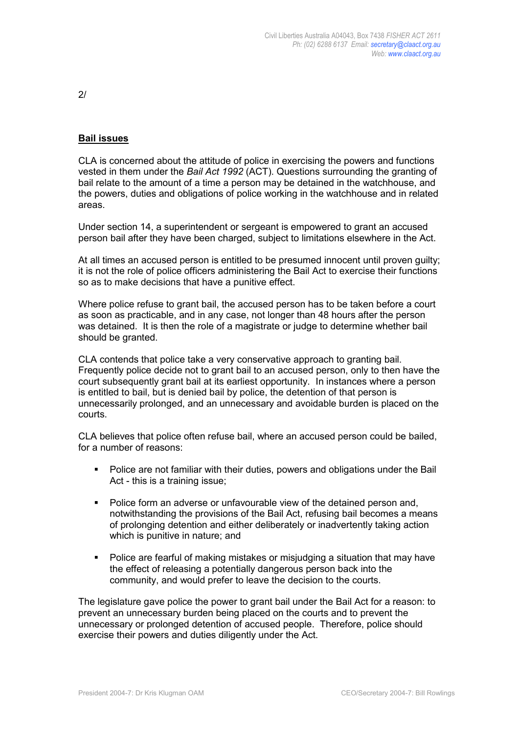$2/$ 

## **Bail issues**

CLA is concerned about the attitude of police in exercising the powers and functions vested in them under the *Bail Act 1992* (ACT). Questions surrounding the granting of bail relate to the amount of a time a person may be detained in the watchhouse, and the powers, duties and obligations of police working in the watchhouse and in related areas.

Under section 14, a superintendent or sergeant is empowered to grant an accused person bail after they have been charged, subject to limitations elsewhere in the Act.

At all times an accused person is entitled to be presumed innocent until proven guilty; it is not the role of police officers administering the Bail Act to exercise their functions so as to make decisions that have a punitive effect.

Where police refuse to grant bail, the accused person has to be taken before a court as soon as practicable, and in any case, not longer than 48 hours after the person was detained. It is then the role of a magistrate or judge to determine whether bail should be granted.

CLA contends that police take a very conservative approach to granting bail. Frequently police decide not to grant bail to an accused person, only to then have the court subsequently grant bail at its earliest opportunity. In instances where a person is entitled to bail, but is denied bail by police, the detention of that person is unnecessarily prolonged, and an unnecessary and avoidable burden is placed on the courts.

CLA believes that police often refuse bail, where an accused person could be bailed, for a number of reasons:

- Police are not familiar with their duties, powers and obligations under the Bail Act - this is a training issue;
- **Police form an adverse or unfavourable view of the detained person and,** notwithstanding the provisions of the Bail Act, refusing bail becomes a means of prolonging detention and either deliberately or inadvertently taking action which is punitive in nature; and
- Police are fearful of making mistakes or misjudging a situation that may have the effect of releasing a potentially dangerous person back into the community, and would prefer to leave the decision to the courts.

The legislature gave police the power to grant bail under the Bail Act for a reason: to prevent an unnecessary burden being placed on the courts and to prevent the unnecessary or prolonged detention of accused people. Therefore, police should exercise their powers and duties diligently under the Act.